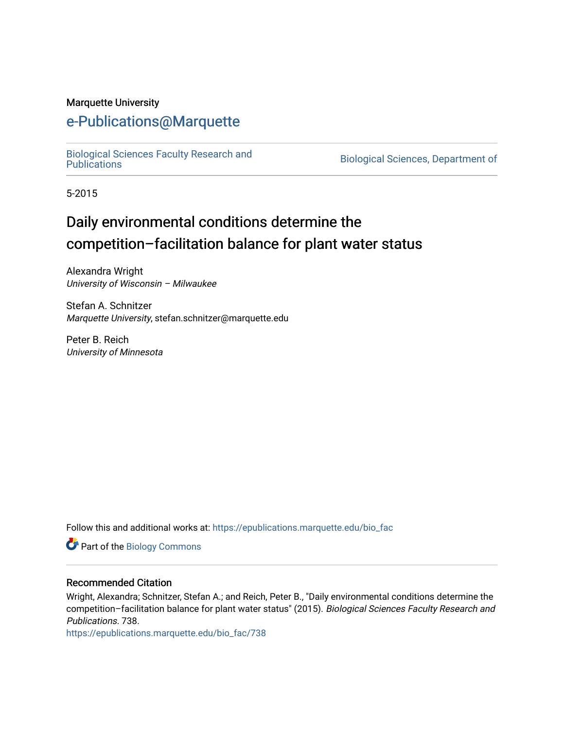#### Marquette University

# [e-Publications@Marquette](https://epublications.marquette.edu/)

[Biological Sciences Faculty Research and](https://epublications.marquette.edu/bio_fac) 

Biological Sciences, Department of

5-2015

# Daily environmental conditions determine the competition–facilitation balance for plant water status

Alexandra Wright University of Wisconsin – Milwaukee

Stefan A. Schnitzer Marquette University, stefan.schnitzer@marquette.edu

Peter B. Reich University of Minnesota

Follow this and additional works at: [https://epublications.marquette.edu/bio\\_fac](https://epublications.marquette.edu/bio_fac?utm_source=epublications.marquette.edu%2Fbio_fac%2F738&utm_medium=PDF&utm_campaign=PDFCoverPages) 

Part of the [Biology Commons](http://network.bepress.com/hgg/discipline/41?utm_source=epublications.marquette.edu%2Fbio_fac%2F738&utm_medium=PDF&utm_campaign=PDFCoverPages) 

#### Recommended Citation

Wright, Alexandra; Schnitzer, Stefan A.; and Reich, Peter B., "Daily environmental conditions determine the competition–facilitation balance for plant water status" (2015). Biological Sciences Faculty Research and Publications. 738.

[https://epublications.marquette.edu/bio\\_fac/738](https://epublications.marquette.edu/bio_fac/738?utm_source=epublications.marquette.edu%2Fbio_fac%2F738&utm_medium=PDF&utm_campaign=PDFCoverPages)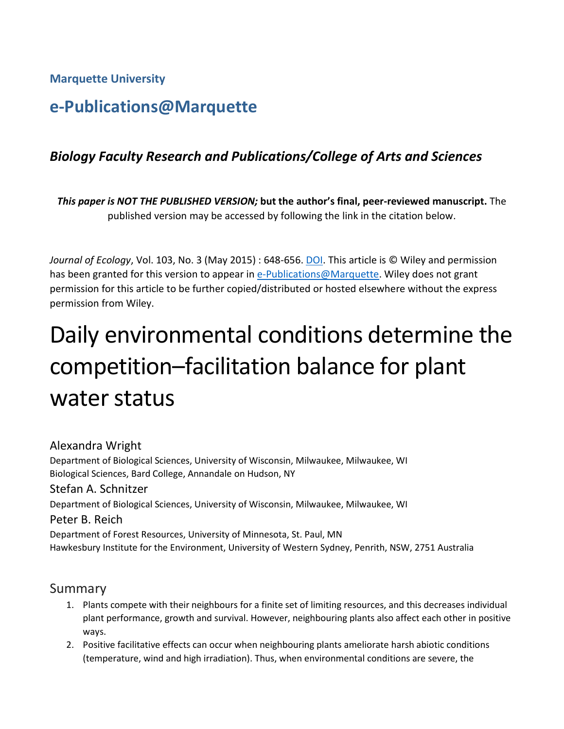**Marquette University**

# **e-Publications@Marquette**

# *Biology Faculty Research and Publications/College of Arts and Sciences*

*This paper is NOT THE PUBLISHED VERSION;* **but the author's final, peer-reviewed manuscript.** The published version may be accessed by following the link in the citation below.

*Journal of Ecology*, Vol. 103, No. 3 (May 2015) : 648-656. [DOI.](https://besjournals.onlinelibrary.wiley.com/doi/full/10.1111/1365-2745.12397) This article is © Wiley and permission has been granted for this version to appear in [e-Publications@Marquette.](http://epublications.marquette.edu/) Wiley does not grant permission for this article to be further copied/distributed or hosted elsewhere without the express permission from Wiley.

# Daily environmental conditions determine the competition–facilitation balance for plant water status

#### Alexandra Wright

Department of Biological Sciences, University of Wisconsin, Milwaukee, Milwaukee, WI Biological Sciences, Bard College, Annandale on Hudson, NY Stefan A. Schnitzer Department of Biological Sciences, University of Wisconsin, Milwaukee, Milwaukee, WI Peter B. Reich Department of Forest Resources, University of Minnesota, St. Paul, MN Hawkesbury Institute for the Environment, University of Western Sydney, Penrith, NSW, 2751 Australia

#### Summary

- 1. Plants compete with their neighbours for a finite set of limiting resources, and this decreases individual plant performance, growth and survival. However, neighbouring plants also affect each other in positive ways.
- 2. Positive facilitative effects can occur when neighbouring plants ameliorate harsh abiotic conditions (temperature, wind and high irradiation). Thus, when environmental conditions are severe, the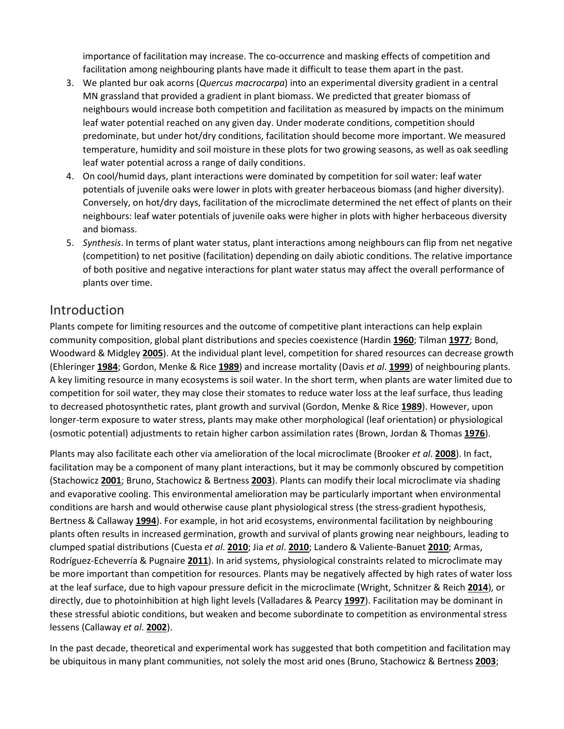importance of facilitation may increase. The co-occurrence and masking effects of competition and facilitation among neighbouring plants have made it difficult to tease them apart in the past.

- 3. We planted bur oak acorns (*Quercus macrocarpa*) into an experimental diversity gradient in a central MN grassland that provided a gradient in plant biomass. We predicted that greater biomass of neighbours would increase both competition and facilitation as measured by impacts on the minimum leaf water potential reached on any given day. Under moderate conditions, competition should predominate, but under hot/dry conditions, facilitation should become more important. We measured temperature, humidity and soil moisture in these plots for two growing seasons, as well as oak seedling leaf water potential across a range of daily conditions.
- 4. On cool/humid days, plant interactions were dominated by competition for soil water: leaf water potentials of juvenile oaks were lower in plots with greater herbaceous biomass (and higher diversity). Conversely, on hot/dry days, facilitation of the microclimate determined the net effect of plants on their neighbours: leaf water potentials of juvenile oaks were higher in plots with higher herbaceous diversity and biomass.
- 5. *Synthesis*. In terms of plant water status, plant interactions among neighbours can flip from net negative (competition) to net positive (facilitation) depending on daily abiotic conditions. The relative importance of both positive and negative interactions for plant water status may affect the overall performance of plants over time.

# Introduction

Plants compete for limiting resources and the outcome of competitive plant interactions can help explain community composition, global plant distributions and species coexistence (Hardin **[1960](https://besjournals.onlinelibrary.wiley.com/doi/full/10.1111/1365-2745.12397#jec12397-bib-0021)**; Tilman **[1977](https://besjournals.onlinelibrary.wiley.com/doi/full/10.1111/1365-2745.12397#jec12397-bib-0032)**; Bond, Woodward & Midgley **[2005](https://besjournals.onlinelibrary.wiley.com/doi/full/10.1111/1365-2745.12397#jec12397-bib-0007)**). At the individual plant level, competition for shared resources can decrease growth (Ehleringer **[1984](https://besjournals.onlinelibrary.wiley.com/doi/full/10.1111/1365-2745.12397#jec12397-bib-0017)**; Gordon, Menke & Rice **[1989](https://besjournals.onlinelibrary.wiley.com/doi/full/10.1111/1365-2745.12397#jec12397-bib-0019)**) and increase mortality (Davis *et al*. **[1999](https://besjournals.onlinelibrary.wiley.com/doi/full/10.1111/1365-2745.12397#jec12397-bib-0016)**) of neighbouring plants. A key limiting resource in many ecosystems is soil water. In the short term, when plants are water limited due to competition for soil water, they may close their stomates to reduce water loss at the leaf surface, thus leading to decreased photosynthetic rates, plant growth and survival (Gordon, Menke & Rice **[1989](https://besjournals.onlinelibrary.wiley.com/doi/full/10.1111/1365-2745.12397#jec12397-bib-0019)**). However, upon longer-term exposure to water stress, plants may make other morphological (leaf orientation) or physiological (osmotic potential) adjustments to retain higher carbon assimilation rates (Brown, Jordan & Thomas **[1976](https://besjournals.onlinelibrary.wiley.com/doi/full/10.1111/1365-2745.12397#jec12397-bib-0009)**).

Plants may also facilitate each other via amelioration of the local microclimate (Brooker *et al*. **[2008](https://besjournals.onlinelibrary.wiley.com/doi/full/10.1111/1365-2745.12397#jec12397-bib-0008)**). In fact, facilitation may be a component of many plant interactions, but it may be commonly obscured by competition (Stachowicz **[2001](https://besjournals.onlinelibrary.wiley.com/doi/full/10.1111/1365-2745.12397#jec12397-bib-0030)**; Bruno, Stachowicz & Bertness **[2003](https://besjournals.onlinelibrary.wiley.com/doi/full/10.1111/1365-2745.12397#jec12397-bib-0010)**). Plants can modify their local microclimate via shading and evaporative cooling. This environmental amelioration may be particularly important when environmental conditions are harsh and would otherwise cause plant physiological stress (the stress-gradient hypothesis, Bertness & Callaway **[1994](https://besjournals.onlinelibrary.wiley.com/doi/full/10.1111/1365-2745.12397#jec12397-bib-0006)**). For example, in hot arid ecosystems, environmental facilitation by neighbouring plants often results in increased germination, growth and survival of plants growing near neighbours, leading to clumped spatial distributions (Cuesta *et al*. **[2010](https://besjournals.onlinelibrary.wiley.com/doi/full/10.1111/1365-2745.12397#jec12397-bib-0014)**; Jia *et al*. **[2010](https://besjournals.onlinelibrary.wiley.com/doi/full/10.1111/1365-2745.12397#jec12397-bib-0023)**; Landero & Valiente-Banuet **[2010](https://besjournals.onlinelibrary.wiley.com/doi/full/10.1111/1365-2745.12397#jec12397-bib-0024)**; Armas, Rodríguez-Echeverría & Pugnaire **[2011](https://besjournals.onlinelibrary.wiley.com/doi/full/10.1111/1365-2745.12397#jec12397-bib-0003)**). In arid systems, physiological constraints related to microclimate may be more important than competition for resources. Plants may be negatively affected by high rates of water loss at the leaf surface, due to high vapour pressure deficit in the microclimate (Wright, Schnitzer & Reich **[2014](https://besjournals.onlinelibrary.wiley.com/doi/full/10.1111/1365-2745.12397#jec12397-bib-0035)**), or directly, due to photoinhibition at high light levels (Valladares & Pearcy **[1997](https://besjournals.onlinelibrary.wiley.com/doi/full/10.1111/1365-2745.12397#jec12397-bib-0034)**). Facilitation may be dominant in these stressful abiotic conditions, but weaken and become subordinate to competition as environmental stress lessens (Callaway *et al*. **[2002](https://besjournals.onlinelibrary.wiley.com/doi/full/10.1111/1365-2745.12397#jec12397-bib-0012)**).

In the past decade, theoretical and experimental work has suggested that both competition and facilitation may be ubiquitous in many plant communities, not solely the most arid ones (Bruno, Stachowicz & Bertness **[2003](https://besjournals.onlinelibrary.wiley.com/doi/full/10.1111/1365-2745.12397#jec12397-bib-0010)**;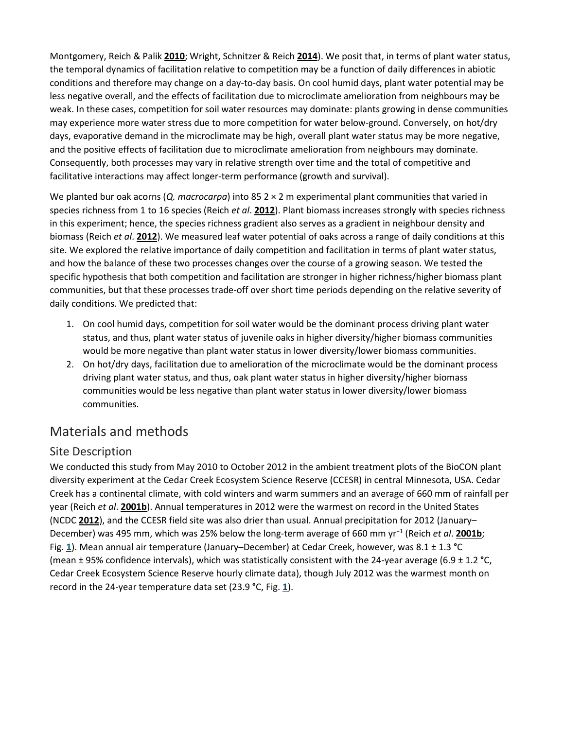Montgomery, Reich & Palik **[2010](https://besjournals.onlinelibrary.wiley.com/doi/full/10.1111/1365-2745.12397#jec12397-bib-0025)**; Wright, Schnitzer & Reich **[2014](https://besjournals.onlinelibrary.wiley.com/doi/full/10.1111/1365-2745.12397#jec12397-bib-0035)**). We posit that, in terms of plant water status, the temporal dynamics of facilitation relative to competition may be a function of daily differences in abiotic conditions and therefore may change on a day-to-day basis. On cool humid days, plant water potential may be less negative overall, and the effects of facilitation due to microclimate amelioration from neighbours may be weak. In these cases, competition for soil water resources may dominate: plants growing in dense communities may experience more water stress due to more competition for water below-ground. Conversely, on hot/dry days, evaporative demand in the microclimate may be high, overall plant water status may be more negative, and the positive effects of facilitation due to microclimate amelioration from neighbours may dominate. Consequently, both processes may vary in relative strength over time and the total of competitive and facilitative interactions may affect longer-term performance (growth and survival).

We planted bur oak acorns (*Q. macrocarpa*) into 85 2 × 2 m experimental plant communities that varied in species richness from 1 to 16 species (Reich *et al*. **[2012](https://besjournals.onlinelibrary.wiley.com/doi/full/10.1111/1365-2745.12397#jec12397-bib-0028)**). Plant biomass increases strongly with species richness in this experiment; hence, the species richness gradient also serves as a gradient in neighbour density and biomass (Reich *et al*. **[2012](https://besjournals.onlinelibrary.wiley.com/doi/full/10.1111/1365-2745.12397#jec12397-bib-0028)**). We measured leaf water potential of oaks across a range of daily conditions at this site. We explored the relative importance of daily competition and facilitation in terms of plant water status, and how the balance of these two processes changes over the course of a growing season. We tested the specific hypothesis that both competition and facilitation are stronger in higher richness/higher biomass plant communities, but that these processes trade-off over short time periods depending on the relative severity of daily conditions. We predicted that:

- 1. On cool humid days, competition for soil water would be the dominant process driving plant water status, and thus, plant water status of juvenile oaks in higher diversity/higher biomass communities would be more negative than plant water status in lower diversity/lower biomass communities.
- 2. On hot/dry days, facilitation due to amelioration of the microclimate would be the dominant process driving plant water status, and thus, oak plant water status in higher diversity/higher biomass communities would be less negative than plant water status in lower diversity/lower biomass communities.

# Materials and methods

#### Site Description

We conducted this study from May 2010 to October 2012 in the ambient treatment plots of the BioCON plant diversity experiment at the Cedar Creek Ecosystem Science Reserve (CCESR) in central Minnesota, USA. Cedar Creek has a continental climate, with cold winters and warm summers and an average of 660 mm of rainfall per year (Reich *et al*. **[2001b](https://besjournals.onlinelibrary.wiley.com/doi/full/10.1111/1365-2745.12397#jec12397-bib-0027)**). Annual temperatures in 2012 were the warmest on record in the United States (NCDC **[2012](https://besjournals.onlinelibrary.wiley.com/doi/full/10.1111/1365-2745.12397#jec12397-bib-0040)**), and the CCESR field site was also drier than usual. Annual precipitation for 2012 (January– December) was 495 mm, which was 25% below the long-term average of 660 mm yr<sup>−</sup><sup>1</sup> (Reich *et al*. **[2001b](https://besjournals.onlinelibrary.wiley.com/doi/full/10.1111/1365-2745.12397#jec12397-bib-0027)**; Fig. **[1](https://besjournals.onlinelibrary.wiley.com/doi/full/10.1111/1365-2745.12397#jec12397-fig-0001)**). Mean annual air temperature (January–December) at Cedar Creek, however, was 8.1 ± 1.3 **°**C (mean ± 95% confidence intervals), which was statistically consistent with the 24-year average (6.9 ± 1.2 **°**C, Cedar Creek Ecosystem Science Reserve hourly climate data), though July 2012 was the warmest month on record in the 24-year temperature data set (23.9 **°**C, Fig. **[1](https://besjournals.onlinelibrary.wiley.com/doi/full/10.1111/1365-2745.12397#jec12397-fig-0001)**).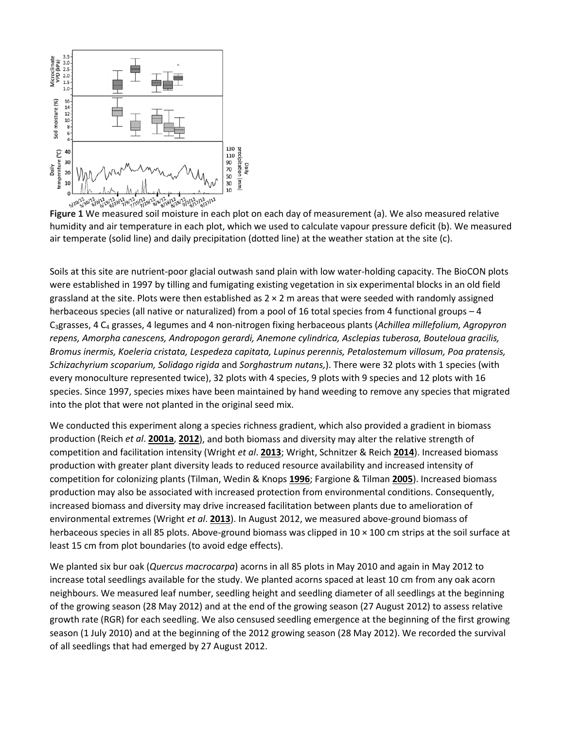

**Figure 1** We measured soil moisture in each plot on each day of measurement (a). We also measured relative humidity and air temperature in each plot, which we used to calculate vapour pressure deficit (b). We measured air temperate (solid line) and daily precipitation (dotted line) at the weather station at the site (c).

Soils at this site are nutrient-poor glacial outwash sand plain with low water-holding capacity. The BioCON plots were established in 1997 by tilling and fumigating existing vegetation in six experimental blocks in an old field grassland at the site. Plots were then established as  $2 \times 2$  m areas that were seeded with randomly assigned herbaceous species (all native or naturalized) from a pool of 16 total species from 4 functional groups - 4 C3grasses, 4 C4 grasses, 4 legumes and 4 non-nitrogen fixing herbaceous plants (*Achillea millefolium, Agropyron repens, Amorpha canescens, Andropogon gerardi, Anemone cylindrica, Asclepias tuberosa, Bouteloua gracilis, Bromus inermis, Koeleria cristata, Lespedeza capitata, Lupinus perennis, Petalostemum villosum, Poa pratensis, Schizachyrium scoparium, Solidago rigida* and *Sorghastrum nutans,*). There were 32 plots with 1 species (with every monoculture represented twice), 32 plots with 4 species, 9 plots with 9 species and 12 plots with 16 species. Since 1997, species mixes have been maintained by hand weeding to remove any species that migrated into the plot that were not planted in the original seed mix.

We conducted this experiment along a species richness gradient, which also provided a gradient in biomass production (Reich *et al*. **[2001a](https://besjournals.onlinelibrary.wiley.com/doi/full/10.1111/1365-2745.12397#jec12397-bib-0026)**, **[2012](https://besjournals.onlinelibrary.wiley.com/doi/full/10.1111/1365-2745.12397#jec12397-bib-0028)**), and both biomass and diversity may alter the relative strength of competition and facilitation intensity (Wright *et al*. **[2013](https://besjournals.onlinelibrary.wiley.com/doi/full/10.1111/1365-2745.12397#jec12397-bib-0036)**; Wright, Schnitzer & Reich **[2014](https://besjournals.onlinelibrary.wiley.com/doi/full/10.1111/1365-2745.12397#jec12397-bib-0035)**). Increased biomass production with greater plant diversity leads to reduced resource availability and increased intensity of competition for colonizing plants (Tilman, Wedin & Knops **[1996](https://besjournals.onlinelibrary.wiley.com/doi/full/10.1111/1365-2745.12397#jec12397-bib-0033)**; Fargione & Tilman **[2005](https://besjournals.onlinelibrary.wiley.com/doi/full/10.1111/1365-2745.12397#jec12397-bib-0018)**). Increased biomass production may also be associated with increased protection from environmental conditions. Consequently, increased biomass and diversity may drive increased facilitation between plants due to amelioration of environmental extremes (Wright *et al*. **[2013](https://besjournals.onlinelibrary.wiley.com/doi/full/10.1111/1365-2745.12397#jec12397-bib-0036)**). In August 2012, we measured above-ground biomass of herbaceous species in all 85 plots. Above-ground biomass was clipped in 10 × 100 cm strips at the soil surface at least 15 cm from plot boundaries (to avoid edge effects).

We planted six bur oak (*Quercus macrocarpa*) acorns in all 85 plots in May 2010 and again in May 2012 to increase total seedlings available for the study. We planted acorns spaced at least 10 cm from any oak acorn neighbours. We measured leaf number, seedling height and seedling diameter of all seedlings at the beginning of the growing season (28 May 2012) and at the end of the growing season (27 August 2012) to assess relative growth rate (RGR) for each seedling. We also censused seedling emergence at the beginning of the first growing season (1 July 2010) and at the beginning of the 2012 growing season (28 May 2012). We recorded the survival of all seedlings that had emerged by 27 August 2012.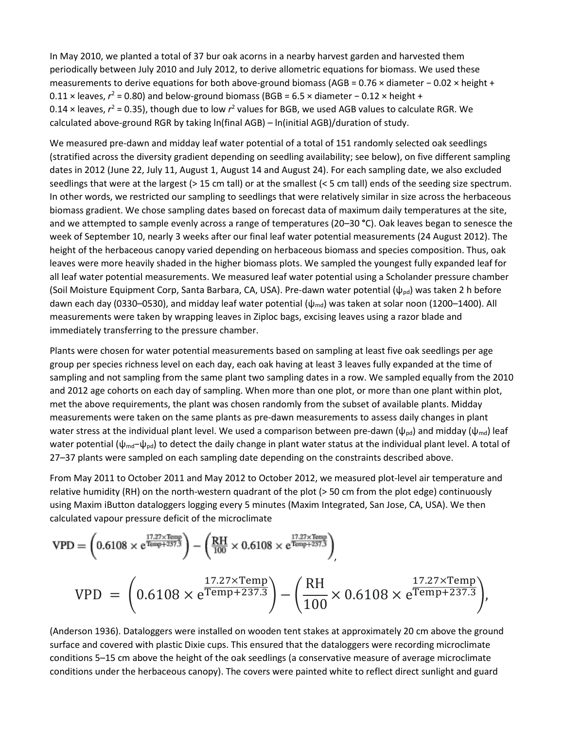In May 2010, we planted a total of 37 bur oak acorns in a nearby harvest garden and harvested them periodically between July 2010 and July 2012, to derive allometric equations for biomass. We used these measurements to derive equations for both above-ground biomass (AGB = 0.76 × diameter − 0.02 × height +  $0.11 \times$  leaves,  $r^2$  = 0.80) and below-ground biomass (BGB = 6.5  $\times$  diameter - 0.12  $\times$  height + 0.14  $\times$  leaves,  $r^2$  = 0.35), though due to low  $r^2$  values for BGB, we used AGB values to calculate RGR. We calculated above-ground RGR by taking ln(final AGB) – ln(initial AGB)/duration of study.

We measured pre-dawn and midday leaf water potential of a total of 151 randomly selected oak seedlings (stratified across the diversity gradient depending on seedling availability; see below), on five different sampling dates in 2012 (June 22, July 11, August 1, August 14 and August 24). For each sampling date, we also excluded seedlings that were at the largest (> 15 cm tall) or at the smallest (< 5 cm tall) ends of the seeding size spectrum. In other words, we restricted our sampling to seedlings that were relatively similar in size across the herbaceous biomass gradient. We chose sampling dates based on forecast data of maximum daily temperatures at the site, and we attempted to sample evenly across a range of temperatures (20–30 **°**C). Oak leaves began to senesce the week of September 10, nearly 3 weeks after our final leaf water potential measurements (24 August 2012). The height of the herbaceous canopy varied depending on herbaceous biomass and species composition. Thus, oak leaves were more heavily shaded in the higher biomass plots. We sampled the youngest fully expanded leaf for all leaf water potential measurements. We measured leaf water potential using a Scholander pressure chamber (Soil Moisture Equipment Corp, Santa Barbara, CA, USA). Pre-dawn water potential ( $\psi_{\text{pd}}$ ) was taken 2 h before dawn each day (0330–0530), and midday leaf water potential (ψ<sub>md</sub>) was taken at solar noon (1200–1400). All measurements were taken by wrapping leaves in Ziploc bags, excising leaves using a razor blade and immediately transferring to the pressure chamber.

Plants were chosen for water potential measurements based on sampling at least five oak seedlings per age group per species richness level on each day, each oak having at least 3 leaves fully expanded at the time of sampling and not sampling from the same plant two sampling dates in a row. We sampled equally from the 2010 and 2012 age cohorts on each day of sampling. When more than one plot, or more than one plant within plot, met the above requirements, the plant was chosen randomly from the subset of available plants. Midday measurements were taken on the same plants as pre-dawn measurements to assess daily changes in plant water stress at the individual plant level. We used a comparison between pre-dawn ( $\psi_{\text{od}}$ ) and midday ( $\psi_{\text{md}}$ ) leaf water potential (ψ<sub>md</sub>−ψ<sub>pd</sub>) to detect the daily change in plant water status at the individual plant level. A total of 27–37 plants were sampled on each sampling date depending on the constraints described above.

From May 2011 to October 2011 and May 2012 to October 2012, we measured plot-level air temperature and relative humidity (RH) on the north-western quadrant of the plot (> 50 cm from the plot edge) continuously using Maxim iButton dataloggers logging every 5 minutes (Maxim Integrated, San Jose, CA, USA). We then calculated vapour pressure deficit of the microclimate

$$
VPD = \left(0.6108 \times e^{\frac{17.27 \times \text{Temp}}{T \text{emp} + 237.3}}\right) - \left(\frac{RH}{100} \times 0.6108 \times e^{\frac{17.27 \times \text{Temp}}{T \text{emp} + 237.3}}\right),
$$
  
\n
$$
VPD = \left(0.6108 \times e^{\frac{17.27 \times \text{Temp}}{T \text{emp} + 237.3}}\right) - \left(\frac{RH}{100} \times 0.6108 \times e^{\frac{17.27 \times \text{Temp}}{T \text{emp} + 237.3}}\right),
$$

(Anderson [1936\)](https://besjournals.onlinelibrary.wiley.com/doi/full/10.1111/1365-2745.12397#jec12397-bib-0002). Dataloggers were installed on wooden tent stakes at approximately 20 cm above the ground surface and covered with plastic Dixie cups. This ensured that the dataloggers were recording microclimate conditions 5–15 cm above the height of the oak seedlings (a conservative measure of average microclimate conditions under the herbaceous canopy). The covers were painted white to reflect direct sunlight and guard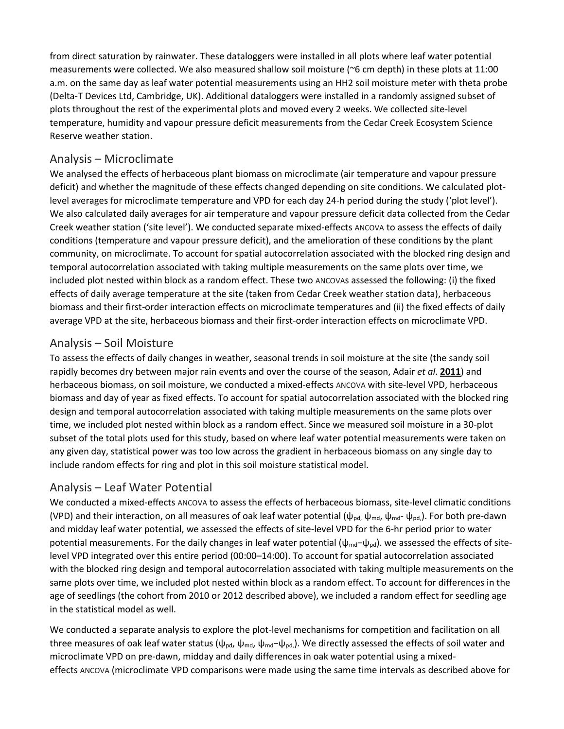from direct saturation by rainwater. These dataloggers were installed in all plots where leaf water potential measurements were collected. We also measured shallow soil moisture (~6 cm depth) in these plots at 11:00 a.m. on the same day as leaf water potential measurements using an HH2 soil moisture meter with theta probe (Delta-T Devices Ltd, Cambridge, UK). Additional dataloggers were installed in a randomly assigned subset of plots throughout the rest of the experimental plots and moved every 2 weeks. We collected site-level temperature, humidity and vapour pressure deficit measurements from the Cedar Creek Ecosystem Science Reserve weather station.

#### Analysis – Microclimate

We analysed the effects of herbaceous plant biomass on microclimate (air temperature and vapour pressure deficit) and whether the magnitude of these effects changed depending on site conditions. We calculated plotlevel averages for microclimate temperature and VPD for each day 24-h period during the study ('plot level'). We also calculated daily averages for air temperature and vapour pressure deficit data collected from the Cedar Creek weather station ('site level'). We conducted separate mixed-effects ANCOVA to assess the effects of daily conditions (temperature and vapour pressure deficit), and the amelioration of these conditions by the plant community, on microclimate. To account for spatial autocorrelation associated with the blocked ring design and temporal autocorrelation associated with taking multiple measurements on the same plots over time, we included plot nested within block as a random effect. These two ANCOVAs assessed the following: (i) the fixed effects of daily average temperature at the site (taken from Cedar Creek weather station data), herbaceous biomass and their first-order interaction effects on microclimate temperatures and (ii) the fixed effects of daily average VPD at the site, herbaceous biomass and their first-order interaction effects on microclimate VPD.

#### Analysis – Soil Moisture

To assess the effects of daily changes in weather, seasonal trends in soil moisture at the site (the sandy soil rapidly becomes dry between major rain events and over the course of the season, Adair *et al*. **[2011](https://besjournals.onlinelibrary.wiley.com/doi/full/10.1111/1365-2745.12397#jec12397-bib-0037)**) and herbaceous biomass, on soil moisture, we conducted a mixed-effects ANCOVA with site-level VPD, herbaceous biomass and day of year as fixed effects. To account for spatial autocorrelation associated with the blocked ring design and temporal autocorrelation associated with taking multiple measurements on the same plots over time, we included plot nested within block as a random effect. Since we measured soil moisture in a 30-plot subset of the total plots used for this study, based on where leaf water potential measurements were taken on any given day, statistical power was too low across the gradient in herbaceous biomass on any single day to include random effects for ring and plot in this soil moisture statistical model.

#### Analysis – Leaf Water Potential

We conducted a mixed-effects ANCOVA to assess the effects of herbaceous biomass, site-level climatic conditions (VPD) and their interaction, on all measures of oak leaf water potential ( $\psi_{\text{pd}}$ ,  $\psi_{\text{md}}$ ,  $\psi_{\text{md}}$ ,  $\psi_{\text{pd}}$ ). For both pre-dawn and midday leaf water potential, we assessed the effects of site-level VPD for the 6-hr period prior to water potential measurements. For the daily changes in leaf water potential ( $\psi_{md}$ – $\psi_{pd}$ ). we assessed the effects of sitelevel VPD integrated over this entire period (00:00–14:00). To account for spatial autocorrelation associated with the blocked ring design and temporal autocorrelation associated with taking multiple measurements on the same plots over time, we included plot nested within block as a random effect. To account for differences in the age of seedlings (the cohort from 2010 or 2012 described above), we included a random effect for seedling age in the statistical model as well.

We conducted a separate analysis to explore the plot-level mechanisms for competition and facilitation on all three measures of oak leaf water status ( $\psi_{pd}$ ,  $\psi_{md}$ ,  $\psi_{md}-\psi_{pd}$ ). We directly assessed the effects of soil water and microclimate VPD on pre-dawn, midday and daily differences in oak water potential using a mixedeffects ANCOVA (microclimate VPD comparisons were made using the same time intervals as described above for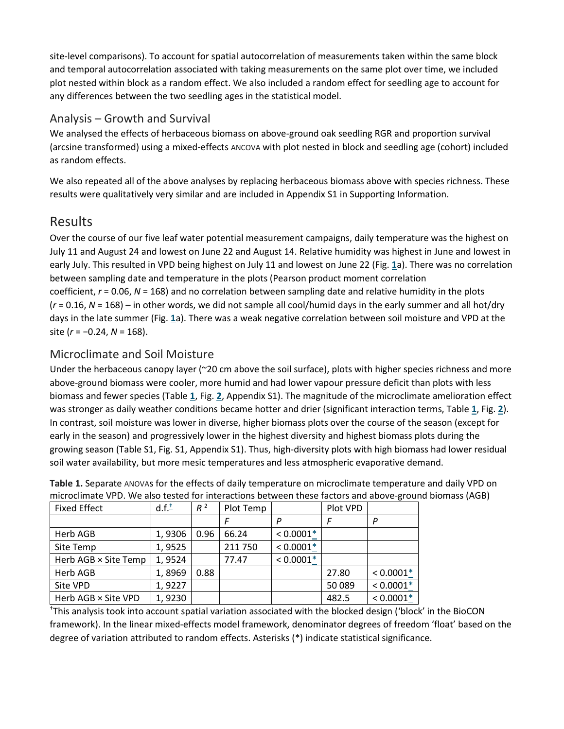site-level comparisons). To account for spatial autocorrelation of measurements taken within the same block and temporal autocorrelation associated with taking measurements on the same plot over time, we included plot nested within block as a random effect. We also included a random effect for seedling age to account for any differences between the two seedling ages in the statistical model.

#### Analysis – Growth and Survival

We analysed the effects of herbaceous biomass on above-ground oak seedling RGR and proportion survival (arcsine transformed) using a mixed-effects ANCOVA with plot nested in block and seedling age (cohort) included as random effects.

We also repeated all of the above analyses by replacing herbaceous biomass above with species richness. These results were qualitatively very similar and are included in Appendix S1 in Supporting Information.

# Results

Over the course of our five leaf water potential measurement campaigns, daily temperature was the highest on July 11 and August 24 and lowest on June 22 and August 14. Relative humidity was highest in June and lowest in early July. This resulted in VPD being highest on July 11 and lowest on June 22 (Fig. **[1](https://besjournals.onlinelibrary.wiley.com/doi/full/10.1111/1365-2745.12397#jec12397-fig-0001)**a). There was no correlation between sampling date and temperature in the plots (Pearson product moment correlation coefficient, *r* = 0.06, *N* = 168) and no correlation between sampling date and relative humidity in the plots (*r* = 0.16, *N* = 168) – in other words, we did not sample all cool/humid days in the early summer and all hot/dry days in the late summer (Fig. **[1](https://besjournals.onlinelibrary.wiley.com/doi/full/10.1111/1365-2745.12397#jec12397-fig-0001)**a). There was a weak negative correlation between soil moisture and VPD at the site (*r* = −0.24, *N* = 168).

#### Microclimate and Soil Moisture

Under the herbaceous canopy layer (~20 cm above the soil surface), plots with higher species richness and more above-ground biomass were cooler, more humid and had lower vapour pressure deficit than plots with less biomass and fewer species (Table **[1](https://besjournals.onlinelibrary.wiley.com/doi/full/10.1111/1365-2745.12397#jec12397-tbl-0001)**, Fig. **[2](https://besjournals.onlinelibrary.wiley.com/doi/full/10.1111/1365-2745.12397#jec12397-fig-0002)**, Appendix S1). The magnitude of the microclimate amelioration effect was stronger as daily weather conditions became hotter and drier (significant interaction terms, Table **[1](https://besjournals.onlinelibrary.wiley.com/doi/full/10.1111/1365-2745.12397#jec12397-tbl-0001)**, Fig. **[2](https://besjournals.onlinelibrary.wiley.com/doi/full/10.1111/1365-2745.12397#jec12397-fig-0002)**). In contrast, soil moisture was lower in diverse, higher biomass plots over the course of the season (except for early in the season) and progressively lower in the highest diversity and highest biomass plots during the growing season (Table S1, Fig. S1, Appendix S1). Thus, high-diversity plots with high biomass had lower residual soil water availability, but more mesic temperatures and less atmospheric evaporative demand.

**Table 1.** Separate ANOVAs for the effects of daily temperature on microclimate temperature and daily VPD on microclimate VPD. We also tested for interactions between these factors and above-ground biomass (AGB)

| <b>Fixed Effect</b>         | d.f. <sup>†</sup> | $R^2$ | Plot Temp |             | Plot VPD |             |
|-----------------------------|-------------------|-------|-----------|-------------|----------|-------------|
|                             |                   |       |           | Р           |          | P           |
| Herb AGB                    | 1,9306            | 0.96  | 66.24     | $< 0.0001*$ |          |             |
| Site Temp                   | 1,9525            |       | 211 750   | $< 0.0001*$ |          |             |
| Herb $AGB \times$ Site Temp | 1,9524            |       | 77.47     | $< 0.0001*$ |          |             |
| Herb AGB                    | 1,8969            | 0.88  |           |             | 27.80    | $< 0.0001*$ |
| Site VPD                    | 1,9227            |       |           |             | 50 089   | $< 0.0001*$ |
| Herb AGB × Site VPD         | 1,9230            |       |           |             | 482.5    | $< 0.0001*$ |

† This analysis took into account spatial variation associated with the blocked design ('block' in the BioCON framework). In the linear mixed-effects model framework, denominator degrees of freedom 'float' based on the degree of variation attributed to random effects. Asterisks (\*) indicate statistical significance.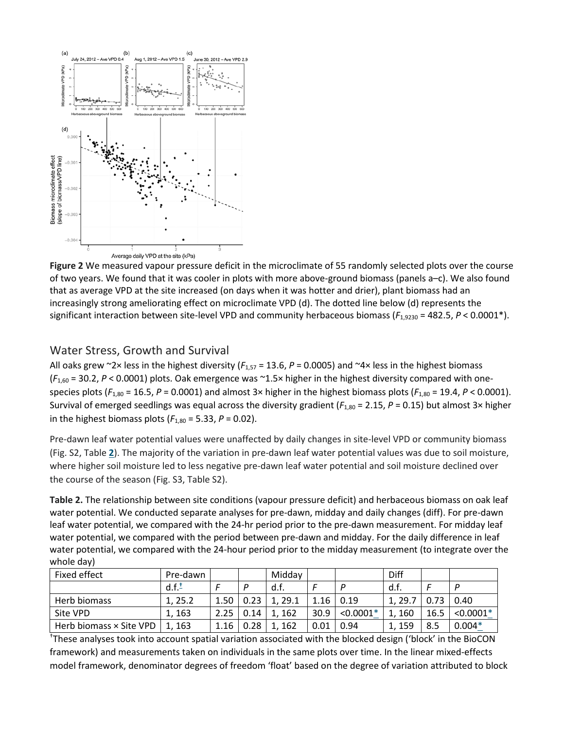

**Figure 2** We measured vapour pressure deficit in the microclimate of 55 randomly selected plots over the course of two years. We found that it was cooler in plots with more above-ground biomass (panels a–c). We also found that as average VPD at the site increased (on days when it was hotter and drier), plant biomass had an increasingly strong ameliorating effect on microclimate VPD (d). The dotted line below (d) represents the significant interaction between site-level VPD and community herbaceous biomass (*F*1,9230 = 482.5, *P* < 0.0001\*).

#### Water Stress, Growth and Survival

All oaks grew  $\sim$ 2× less in the highest diversity ( $F_{1,57}$  = 13.6, P = 0.0005) and  $\sim$ 4× less in the highest biomass (*F*1,60 = 30.2, *P* < 0.0001) plots. Oak emergence was ~1.5× higher in the highest diversity compared with onespecies plots ( $F_{1,80}$  = 16.5,  $P$  = 0.0001) and almost 3× higher in the highest biomass plots ( $F_{1,80}$  = 19.4,  $P$  < 0.0001). Survival of emerged seedlings was equal across the diversity gradient ( $F_{1,80}$  = 2.15,  $P$  = 0.15) but almost 3× higher in the highest biomass plots (*F*1,80 = 5.33, *P* = 0.02).

Pre-dawn leaf water potential values were unaffected by daily changes in site-level VPD or community biomass (Fig. S2, Table **[2](https://besjournals.onlinelibrary.wiley.com/doi/full/10.1111/1365-2745.12397#jec12397-tbl-0002)**). The majority of the variation in pre-dawn leaf water potential values was due to soil moisture, where higher soil moisture led to less negative pre-dawn leaf water potential and soil moisture declined over the course of the season (Fig. S3, Table S2).

**Table 2.** The relationship between site conditions (vapour pressure deficit) and herbaceous biomass on oak leaf water potential. We conducted separate analyses for pre-dawn, midday and daily changes (diff). For pre-dawn leaf water potential, we compared with the 24-hr period prior to the pre-dawn measurement. For midday leaf water potential, we compared with the period between pre-dawn and midday. For the daily difference in leaf water potential, we compared with the 24-hour period prior to the midday measurement (to integrate over the whole day)

| Fixed effect            | Pre-dawn |      |              | Midday  |      |             | Diff    |      |             |
|-------------------------|----------|------|--------------|---------|------|-------------|---------|------|-------------|
|                         | $d.f.+$  |      | P            | d.f.    |      |             | d.f.    |      | P           |
| Herb biomass            | 1, 25.2  | 1.50 | $\vert$ 0.23 | 1, 29.1 | 1.16 | 0.19        | 1, 29.7 | 0.73 | 0.40        |
| Site VPD                | 1, 163   | 2.25 | 0.14         | 1, 162  | 30.9 | $< 0.0001*$ | 1.160   | 16.5 | $< 0.0001*$ |
| Herb biomass × Site VPD | 163      | 1.16 | 0.28         | 1, 162  | 0.01 | 0.94        | 1, 159  | 8.5  | $0.004*$    |

† These analyses took into account spatial variation associated with the blocked design ('block' in the BioCON framework) and measurements taken on individuals in the same plots over time. In the linear mixed-effects model framework, denominator degrees of freedom 'float' based on the degree of variation attributed to block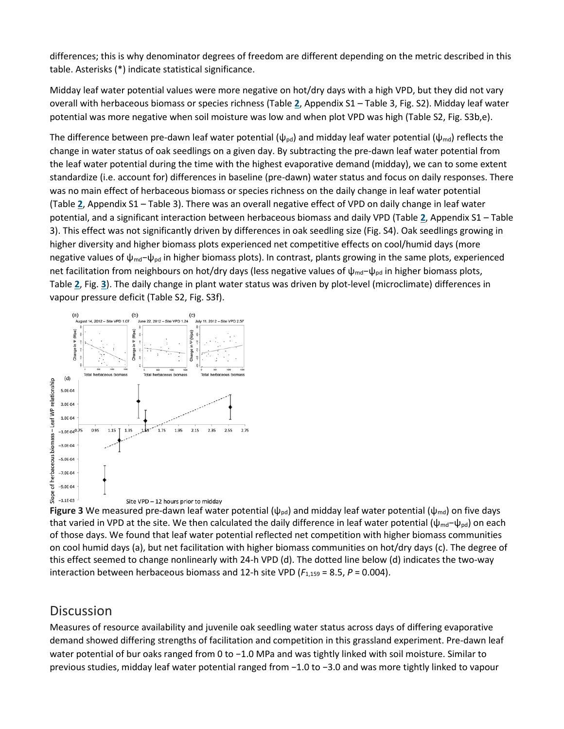differences; this is why denominator degrees of freedom are different depending on the metric described in this table. Asterisks (\*) indicate statistical significance.

Midday leaf water potential values were more negative on hot/dry days with a high VPD, but they did not vary overall with herbaceous biomass or species richness (Table **[2](https://besjournals.onlinelibrary.wiley.com/doi/full/10.1111/1365-2745.12397#jec12397-tbl-0002)**, Appendix S1 – Table 3, Fig. S2). Midday leaf water potential was more negative when soil moisture was low and when plot VPD was high (Table S2, Fig. S3b,e).

The difference between pre-dawn leaf water potential ( $\psi_{\text{od}}$ ) and midday leaf water potential ( $\psi_{\text{md}}$ ) reflects the change in water status of oak seedlings on a given day. By subtracting the pre-dawn leaf water potential from the leaf water potential during the time with the highest evaporative demand (midday), we can to some extent standardize (i.e. account for) differences in baseline (pre-dawn) water status and focus on daily responses. There was no main effect of herbaceous biomass or species richness on the daily change in leaf water potential (Table **[2](https://besjournals.onlinelibrary.wiley.com/doi/full/10.1111/1365-2745.12397#jec12397-tbl-0002)**, Appendix S1 – Table 3). There was an overall negative effect of VPD on daily change in leaf water potential, and a significant interaction between herbaceous biomass and daily VPD (Table **[2](https://besjournals.onlinelibrary.wiley.com/doi/full/10.1111/1365-2745.12397#jec12397-tbl-0002)**, Appendix S1 – Table 3). This effect was not significantly driven by differences in oak seedling size (Fig. S4). Oak seedlings growing in higher diversity and higher biomass plots experienced net competitive effects on cool/humid days (more negative values of ψ<sub>md</sub>−ψ<sub>pd</sub> in higher biomass plots). In contrast, plants growing in the same plots, experienced net facilitation from neighbours on hot/dry days (less negative values of ψ<sub>md</sub>−ψ<sub>pd</sub> in higher biomass plots, Table **[2](https://besjournals.onlinelibrary.wiley.com/doi/full/10.1111/1365-2745.12397#jec12397-tbl-0002)**, Fig. **[3](https://besjournals.onlinelibrary.wiley.com/doi/full/10.1111/1365-2745.12397#jec12397-fig-0003)**). The daily change in plant water status was driven by plot-level (microclimate) differences in vapour pressure deficit (Table S2, Fig. S3f).



**Figure 3** We measured pre-dawn leaf water potential ( $\psi_{\text{nd}}$ ) and midday leaf water potential ( $\psi_{\text{md}}$ ) on five days that varied in VPD at the site. We then calculated the daily difference in leaf water potential (ψ<sub>md</sub>−ψ<sub>pd</sub>) on each of those days. We found that leaf water potential reflected net competition with higher biomass communities on cool humid days (a), but net facilitation with higher biomass communities on hot/dry days (c). The degree of this effect seemed to change nonlinearly with 24-h VPD (d). The dotted line below (d) indicates the two-way interaction between herbaceous biomass and 12-h site VPD  $(F_{1,159} = 8.5, P = 0.004)$ .

# **Discussion**

Measures of resource availability and juvenile oak seedling water status across days of differing evaporative demand showed differing strengths of facilitation and competition in this grassland experiment. Pre-dawn leaf water potential of bur oaks ranged from 0 to -1.0 MPa and was tightly linked with soil moisture. Similar to previous studies, midday leaf water potential ranged from −1.0 to −3.0 and was more tightly linked to vapour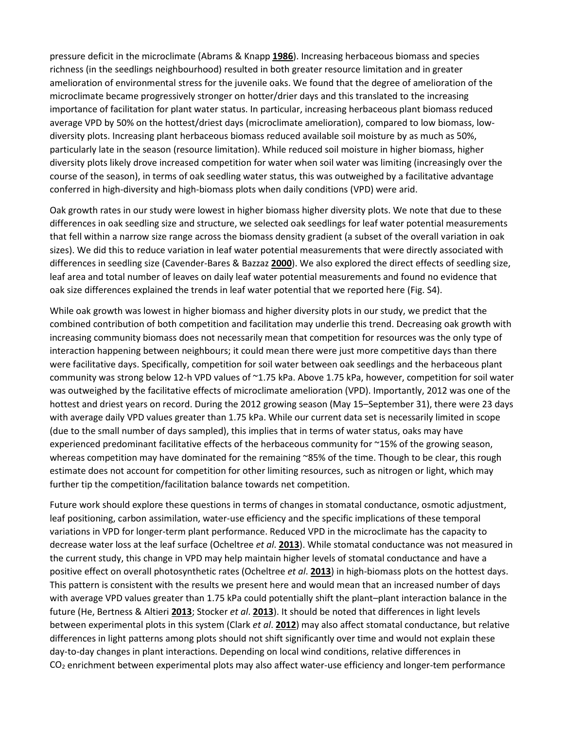pressure deficit in the microclimate (Abrams & Knapp **[1986](https://besjournals.onlinelibrary.wiley.com/doi/full/10.1111/1365-2745.12397#jec12397-bib-0001)**). Increasing herbaceous biomass and species richness (in the seedlings neighbourhood) resulted in both greater resource limitation and in greater amelioration of environmental stress for the juvenile oaks. We found that the degree of amelioration of the microclimate became progressively stronger on hotter/drier days and this translated to the increasing importance of facilitation for plant water status. In particular, increasing herbaceous plant biomass reduced average VPD by 50% on the hottest/driest days (microclimate amelioration), compared to low biomass, lowdiversity plots. Increasing plant herbaceous biomass reduced available soil moisture by as much as 50%, particularly late in the season (resource limitation). While reduced soil moisture in higher biomass, higher diversity plots likely drove increased competition for water when soil water was limiting (increasingly over the course of the season), in terms of oak seedling water status, this was outweighed by a facilitative advantage conferred in high-diversity and high-biomass plots when daily conditions (VPD) were arid.

Oak growth rates in our study were lowest in higher biomass higher diversity plots. We note that due to these differences in oak seedling size and structure, we selected oak seedlings for leaf water potential measurements that fell within a narrow size range across the biomass density gradient (a subset of the overall variation in oak sizes). We did this to reduce variation in leaf water potential measurements that were directly associated with differences in seedling size (Cavender-Bares & Bazzaz **[2000](https://besjournals.onlinelibrary.wiley.com/doi/full/10.1111/1365-2745.12397#jec12397-bib-0013)**). We also explored the direct effects of seedling size, leaf area and total number of leaves on daily leaf water potential measurements and found no evidence that oak size differences explained the trends in leaf water potential that we reported here (Fig. S4).

While oak growth was lowest in higher biomass and higher diversity plots in our study, we predict that the combined contribution of both competition and facilitation may underlie this trend. Decreasing oak growth with increasing community biomass does not necessarily mean that competition for resources was the only type of interaction happening between neighbours; it could mean there were just more competitive days than there were facilitative days. Specifically, competition for soil water between oak seedlings and the herbaceous plant community was strong below 12-h VPD values of ~1.75 kPa. Above 1.75 kPa, however, competition for soil water was outweighed by the facilitative effects of microclimate amelioration (VPD). Importantly, 2012 was one of the hottest and driest years on record. During the 2012 growing season (May 15–September 31), there were 23 days with average daily VPD values greater than 1.75 kPa. While our current data set is necessarily limited in scope (due to the small number of days sampled), this implies that in terms of water status, oaks may have experienced predominant facilitative effects of the herbaceous community for ~15% of the growing season, whereas competition may have dominated for the remaining ~85% of the time. Though to be clear, this rough estimate does not account for competition for other limiting resources, such as nitrogen or light, which may further tip the competition/facilitation balance towards net competition.

Future work should explore these questions in terms of changes in stomatal conductance, osmotic adjustment, leaf positioning, carbon assimilation, water-use efficiency and the specific implications of these temporal variations in VPD for longer-term plant performance. Reduced VPD in the microclimate has the capacity to decrease water loss at the leaf surface (Ocheltree *et al*. **[2013](https://besjournals.onlinelibrary.wiley.com/doi/full/10.1111/1365-2745.12397#jec12397-bib-0041)**). While stomatal conductance was not measured in the current study, this change in VPD may help maintain higher levels of stomatal conductance and have a positive effect on overall photosynthetic rates (Ocheltree *et al*. **[2013](https://besjournals.onlinelibrary.wiley.com/doi/full/10.1111/1365-2745.12397#jec12397-bib-0041)**) in high-biomass plots on the hottest days. This pattern is consistent with the results we present here and would mean that an increased number of days with average VPD values greater than 1.75 kPa could potentially shift the plant–plant interaction balance in the future (He, Bertness & Altieri **[2013](https://besjournals.onlinelibrary.wiley.com/doi/full/10.1111/1365-2745.12397#jec12397-bib-0022)**; Stocker *et al*. **[2013](https://besjournals.onlinelibrary.wiley.com/doi/full/10.1111/1365-2745.12397#jec12397-bib-0031)**). It should be noted that differences in light levels between experimental plots in this system (Clark *et al*. **[2012](https://besjournals.onlinelibrary.wiley.com/doi/full/10.1111/1365-2745.12397#jec12397-bib-0038)**) may also affect stomatal conductance, but relative differences in light patterns among plots should not shift significantly over time and would not explain these day-to-day changes in plant interactions. Depending on local wind conditions, relative differences in CO<sub>2</sub> enrichment between experimental plots may also affect water-use efficiency and longer-tem performance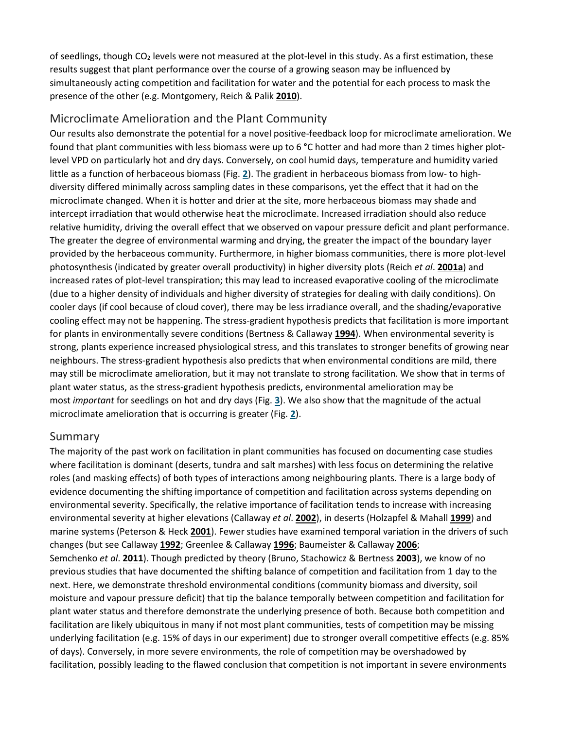of seedlings, though  $CO<sub>2</sub>$  levels were not measured at the plot-level in this study. As a first estimation, these results suggest that plant performance over the course of a growing season may be influenced by simultaneously acting competition and facilitation for water and the potential for each process to mask the presence of the other (e.g. Montgomery, Reich & Palik **[2010](https://besjournals.onlinelibrary.wiley.com/doi/full/10.1111/1365-2745.12397#jec12397-bib-0025)**).

#### Microclimate Amelioration and the Plant Community

Our results also demonstrate the potential for a novel positive-feedback loop for microclimate amelioration. We found that plant communities with less biomass were up to 6 **°**C hotter and had more than 2 times higher plotlevel VPD on particularly hot and dry days. Conversely, on cool humid days, temperature and humidity varied little as a function of herbaceous biomass (Fig. **[2](https://besjournals.onlinelibrary.wiley.com/doi/full/10.1111/1365-2745.12397#jec12397-fig-0002)**). The gradient in herbaceous biomass from low- to highdiversity differed minimally across sampling dates in these comparisons, yet the effect that it had on the microclimate changed. When it is hotter and drier at the site, more herbaceous biomass may shade and intercept irradiation that would otherwise heat the microclimate. Increased irradiation should also reduce relative humidity, driving the overall effect that we observed on vapour pressure deficit and plant performance. The greater the degree of environmental warming and drying, the greater the impact of the boundary layer provided by the herbaceous community. Furthermore, in higher biomass communities, there is more plot-level photosynthesis (indicated by greater overall productivity) in higher diversity plots (Reich *et al*. **[2001a](https://besjournals.onlinelibrary.wiley.com/doi/full/10.1111/1365-2745.12397#jec12397-bib-0026)**) and increased rates of plot-level transpiration; this may lead to increased evaporative cooling of the microclimate (due to a higher density of individuals and higher diversity of strategies for dealing with daily conditions). On cooler days (if cool because of cloud cover), there may be less irradiance overall, and the shading/evaporative cooling effect may not be happening. The stress-gradient hypothesis predicts that facilitation is more important for plants in environmentally severe conditions (Bertness & Callaway **[1994](https://besjournals.onlinelibrary.wiley.com/doi/full/10.1111/1365-2745.12397#jec12397-bib-0006)**). When environmental severity is strong, plants experience increased physiological stress, and this translates to stronger benefits of growing near neighbours. The stress-gradient hypothesis also predicts that when environmental conditions are mild, there may still be microclimate amelioration, but it may not translate to strong facilitation. We show that in terms of plant water status, as the stress-gradient hypothesis predicts, environmental amelioration may be most *important* for seedlings on hot and dry days (Fig. **[3](https://besjournals.onlinelibrary.wiley.com/doi/full/10.1111/1365-2745.12397#jec12397-fig-0003)**). We also show that the magnitude of the actual microclimate amelioration that is occurring is greater (Fig. **[2](https://besjournals.onlinelibrary.wiley.com/doi/full/10.1111/1365-2745.12397#jec12397-fig-0002)**).

#### Summary

The majority of the past work on facilitation in plant communities has focused on documenting case studies where facilitation is dominant (deserts, tundra and salt marshes) with less focus on determining the relative roles (and masking effects) of both types of interactions among neighbouring plants. There is a large body of evidence documenting the shifting importance of competition and facilitation across systems depending on environmental severity. Specifically, the relative importance of facilitation tends to increase with increasing environmental severity at higher elevations (Callaway *et al*. **[2002](https://besjournals.onlinelibrary.wiley.com/doi/full/10.1111/1365-2745.12397#jec12397-bib-0012)**), in deserts (Holzapfel & Mahall **[1999](https://besjournals.onlinelibrary.wiley.com/doi/full/10.1111/1365-2745.12397#jec12397-bib-0039)**) and marine systems (Peterson & Heck **[2001](https://besjournals.onlinelibrary.wiley.com/doi/full/10.1111/1365-2745.12397#jec12397-bib-0042)**). Fewer studies have examined temporal variation in the drivers of such changes (but see Callaway **[1992](https://besjournals.onlinelibrary.wiley.com/doi/full/10.1111/1365-2745.12397#jec12397-bib-0011)**; Greenlee & Callaway **[1996](https://besjournals.onlinelibrary.wiley.com/doi/full/10.1111/1365-2745.12397#jec12397-bib-0020)**; Baumeister & Callaway **[2006](https://besjournals.onlinelibrary.wiley.com/doi/full/10.1111/1365-2745.12397#jec12397-bib-0004)**; Semchenko *et al*. **[2011](https://besjournals.onlinelibrary.wiley.com/doi/full/10.1111/1365-2745.12397#jec12397-bib-0029)**). Though predicted by theory (Bruno, Stachowicz & Bertness **[2003](https://besjournals.onlinelibrary.wiley.com/doi/full/10.1111/1365-2745.12397#jec12397-bib-0010)**), we know of no previous studies that have documented the shifting balance of competition and facilitation from 1 day to the next. Here, we demonstrate threshold environmental conditions (community biomass and diversity, soil moisture and vapour pressure deficit) that tip the balance temporally between competition and facilitation for plant water status and therefore demonstrate the underlying presence of both. Because both competition and facilitation are likely ubiquitous in many if not most plant communities, tests of competition may be missing underlying facilitation (e.g. 15% of days in our experiment) due to stronger overall competitive effects (e.g. 85% of days). Conversely, in more severe environments, the role of competition may be overshadowed by facilitation, possibly leading to the flawed conclusion that competition is not important in severe environments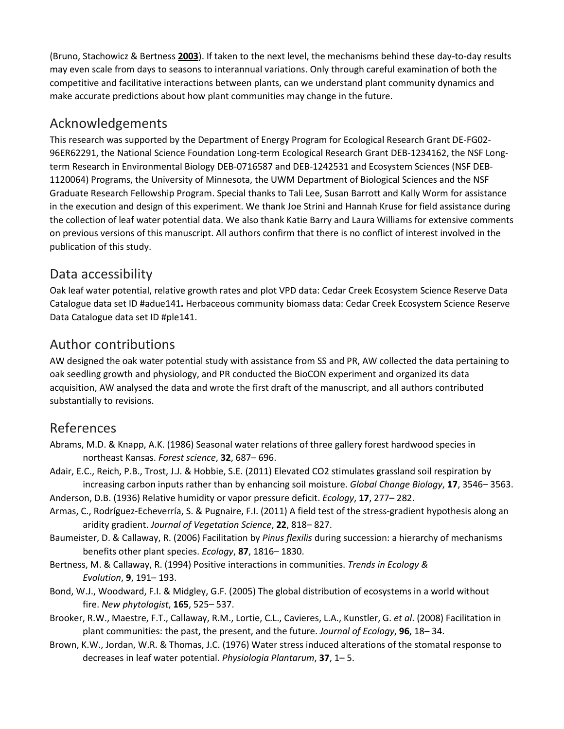(Bruno, Stachowicz & Bertness **[2003](https://besjournals.onlinelibrary.wiley.com/doi/full/10.1111/1365-2745.12397#jec12397-bib-0010)**). If taken to the next level, the mechanisms behind these day-to-day results may even scale from days to seasons to interannual variations. Only through careful examination of both the competitive and facilitative interactions between plants, can we understand plant community dynamics and make accurate predictions about how plant communities may change in the future.

### Acknowledgements

This research was supported by the Department of Energy Program for Ecological Research Grant DE-FG02- 96ER62291, the National Science Foundation Long-term Ecological Research Grant DEB-1234162, the NSF Longterm Research in Environmental Biology DEB-0716587 and DEB-1242531 and Ecosystem Sciences (NSF DEB-1120064) Programs, the University of Minnesota, the UWM Department of Biological Sciences and the NSF Graduate Research Fellowship Program. Special thanks to Tali Lee, Susan Barrott and Kally Worm for assistance in the execution and design of this experiment. We thank Joe Strini and Hannah Kruse for field assistance during the collection of leaf water potential data. We also thank Katie Barry and Laura Williams for extensive comments on previous versions of this manuscript. All authors confirm that there is no conflict of interest involved in the publication of this study.

# Data accessibility

Oak leaf water potential, relative growth rates and plot VPD data: Cedar Creek Ecosystem Science Reserve Data Catalogue data set ID #adue141**.** Herbaceous community biomass data: Cedar Creek Ecosystem Science Reserve Data Catalogue data set ID #ple141.

# Author contributions

AW designed the oak water potential study with assistance from SS and PR, AW collected the data pertaining to oak seedling growth and physiology, and PR conducted the BioCON experiment and organized its data acquisition, AW analysed the data and wrote the first draft of the manuscript, and all authors contributed substantially to revisions.

# References

- Abrams, M.D. & Knapp, A.K. (1986) Seasonal water relations of three gallery forest hardwood species in northeast Kansas. *Forest science*, **32**, 687– 696.
- Adair, E.C., Reich, P.B., Trost, J.J. & Hobbie, S.E. (2011) Elevated CO2 stimulates grassland soil respiration by increasing carbon inputs rather than by enhancing soil moisture. *Global Change Biology*, **17**, 3546– 3563.
- Anderson, D.B. (1936) Relative humidity or vapor pressure deficit. *Ecology*, **17**, 277– 282.
- Armas, C., Rodríguez-Echeverría, S. & Pugnaire, F.I. (2011) A field test of the stress-gradient hypothesis along an aridity gradient. *Journal of Vegetation Science*, **22**, 818– 827.
- Baumeister, D. & Callaway, R. (2006) Facilitation by *Pinus flexilis* during succession: a hierarchy of mechanisms benefits other plant species. *Ecology*, **87**, 1816– 1830.
- Bertness, M. & Callaway, R. (1994) Positive interactions in communities. *Trends in Ecology & Evolution*, **9**, 191– 193.
- Bond, W.J., Woodward, F.I. & Midgley, G.F. (2005) The global distribution of ecosystems in a world without fire. *New phytologist*, **165**, 525– 537.
- Brooker, R.W., Maestre, F.T., Callaway, R.M., Lortie, C.L., Cavieres, L.A., Kunstler, G. *et al*. (2008) Facilitation in plant communities: the past, the present, and the future. *Journal of Ecology*, **96**, 18– 34.
- Brown, K.W., Jordan, W.R. & Thomas, J.C. (1976) Water stress induced alterations of the stomatal response to decreases in leaf water potential. *Physiologia Plantarum*, **37**, 1– 5.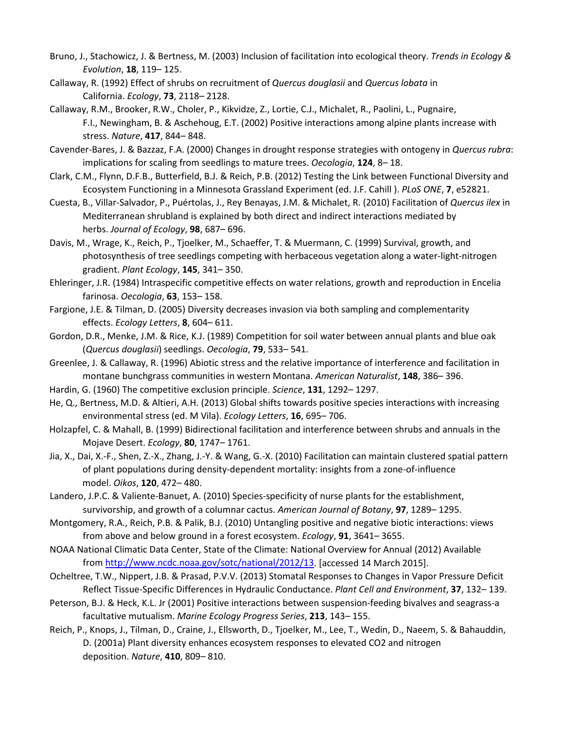- Bruno, J., Stachowicz, J. & Bertness, M. (2003) Inclusion of facilitation into ecological theory. *Trends in Ecology & Evolution*, **18**, 119– 125.
- Callaway, R. (1992) Effect of shrubs on recruitment of *Quercus douglasii* and *Quercus lobata* in California. *Ecology*, **73**, 2118– 2128.
- Callaway, R.M., Brooker, R.W., Choler, P., Kikvidze, Z., Lortie, C.J., Michalet, R., Paolini, L., Pugnaire, F.I., Newingham, B. & Aschehoug, E.T. (2002) Positive interactions among alpine plants increase with stress. *Nature*, **417**, 844– 848.
- Cavender-Bares, J. & Bazzaz, F.A. (2000) Changes in drought response strategies with ontogeny in *Quercus rubra*: implications for scaling from seedlings to mature trees. *Oecologia*, **124**, 8– 18.
- Clark, C.M., Flynn, D.F.B., Butterfield, B.J. & Reich, P.B. (2012) Testing the Link between Functional Diversity and Ecosystem Functioning in a Minnesota Grassland Experiment (ed. J.F. Cahill ). *PLoS ONE*, **7**, e52821.
- Cuesta, B., Villar-Salvador, P., Puértolas, J., Rey Benayas, J.M. & Michalet, R. (2010) Facilitation of *Quercus ilex* in Mediterranean shrubland is explained by both direct and indirect interactions mediated by herbs. *Journal of Ecology*, **98**, 687– 696.
- Davis, M., Wrage, K., Reich, P., Tjoelker, M., Schaeffer, T. & Muermann, C. (1999) Survival, growth, and photosynthesis of tree seedlings competing with herbaceous vegetation along a water-light-nitrogen gradient. *Plant Ecology*, **145**, 341– 350.
- Ehleringer, J.R. (1984) Intraspecific competitive effects on water relations, growth and reproduction in Encelia farinosa. *Oecologia*, **63**, 153– 158.
- Fargione, J.E. & Tilman, D. (2005) Diversity decreases invasion via both sampling and complementarity effects. *Ecology Letters*, **8**, 604– 611.
- Gordon, D.R., Menke, J.M. & Rice, K.J. (1989) Competition for soil water between annual plants and blue oak (*Quercus douglasii*) seedlings. *Oecologia*, **79**, 533– 541.
- Greenlee, J. & Callaway, R. (1996) Abiotic stress and the relative importance of interference and facilitation in montane bunchgrass communities in western Montana. *American Naturalist*, **148**, 386– 396.
- Hardin, G. (1960) The competitive exclusion principle. *Science*, **131**, 1292– 1297.
- He, Q., Bertness, M.D. & Altieri, A.H. (2013) Global shifts towards positive species interactions with increasing environmental stress (ed. M Vila). *Ecology Letters*, **16**, 695– 706.
- Holzapfel, C. & Mahall, B. (1999) Bidirectional facilitation and interference between shrubs and annuals in the Mojave Desert. *Ecology*, **80**, 1747– 1761.
- Jia, X., Dai, X.-F., Shen, Z.-X., Zhang, J.-Y. & Wang, G.-X. (2010) Facilitation can maintain clustered spatial pattern of plant populations during density-dependent mortality: insights from a zone-of-influence model. *Oikos*, **120**, 472– 480.
- Landero, J.P.C. & Valiente-Banuet, A. (2010) Species-specificity of nurse plants for the establishment, survivorship, and growth of a columnar cactus. *American Journal of Botany*, **97**, 1289– 1295.
- Montgomery, R.A., Reich, P.B. & Palik, B.J. (2010) Untangling positive and negative biotic interactions: views from above and below ground in a forest ecosystem. *Ecology*, **91**, 3641– 3655.
- NOAA National Climatic Data Center, State of the Climate: National Overview for Annual (2012) Available from [http://www.ncdc.noaa.gov/sotc/national/2012/13.](http://www.ncdc.noaa.gov/sotc/national/2012/13) [accessed 14 March 2015].
- Ocheltree, T.W., Nippert, J.B. & Prasad, P.V.V. (2013) Stomatal Responses to Changes in Vapor Pressure Deficit Reflect Tissue-Specific Differences in Hydraulic Conductance. *Plant Cell and Environment*, **37**, 132– 139.
- Peterson, B.J. & Heck, K.L. Jr (2001) Positive interactions between suspension-feeding bivalves and seagrass-a facultative mutualism. *Marine Ecology Progress Series*, **213**, 143– 155.
- Reich, P., Knops, J., Tilman, D., Craine, J., Ellsworth, D., Tjoelker, M., Lee, T., Wedin, D., Naeem, S. & Bahauddin, D. (2001a) Plant diversity enhances ecosystem responses to elevated CO2 and nitrogen deposition. *Nature*, **410**, 809– 810.